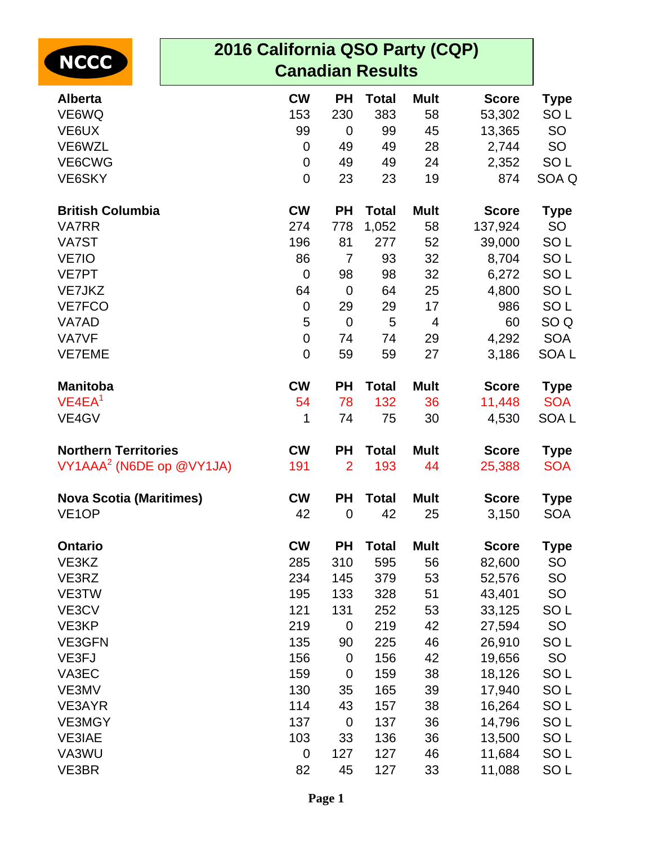| <b>NCCC</b>                          | 2016 California QSO Party (CQP)<br><b>Canadian Results</b> |                  |                      |              |                      |                  |                               |
|--------------------------------------|------------------------------------------------------------|------------------|----------------------|--------------|----------------------|------------------|-------------------------------|
| <b>Alberta</b>                       |                                                            | <b>CW</b>        | <b>PH</b>            | <b>Total</b> | <b>Mult</b>          | <b>Score</b>     | <b>Type</b>                   |
| VE6WQ                                |                                                            | 153              | 230                  | 383          | 58                   | 53,302           | SO <sub>L</sub>               |
| VE6UX                                |                                                            | 99               | $\mathbf 0$          | 99           | 45                   | 13,365           | SO                            |
| VE6WZL                               |                                                            | $\mathbf 0$      | 49                   | 49           | 28                   | 2,744            | <b>SO</b>                     |
| VE6CWG                               |                                                            | $\mathbf 0$      | 49                   | 49           | 24                   | 2,352            | SO <sub>L</sub>               |
| VE6SKY                               |                                                            | $\mathbf 0$      | 23                   | 23           | 19                   | 874              | SOA Q                         |
| <b>British Columbia</b>              |                                                            | <b>CW</b>        | <b>PH</b>            | <b>Total</b> | <b>Mult</b>          | <b>Score</b>     | <b>Type</b>                   |
| VA7RR                                |                                                            | 274              | 778                  | 1,052        | 58                   | 137,924          | <b>SO</b>                     |
| VA7ST                                |                                                            | 196              | 81                   | 277          | 52                   | 39,000           | SO <sub>L</sub>               |
| VE7IO                                |                                                            | 86               | $\overline{7}$       | 93           | 32                   | 8,704            | SO <sub>L</sub>               |
| <b>VE7PT</b>                         |                                                            | $\mathbf 0$      | 98                   | 98           | 32                   | 6,272            | SO <sub>L</sub>               |
| VE7JKZ                               |                                                            | 64               | $\mathbf 0$          | 64           | 25                   | 4,800            | SO <sub>L</sub>               |
| <b>VE7FCO</b>                        |                                                            | $\boldsymbol{0}$ | 29                   | 29           | 17                   | 986              | SO <sub>L</sub>               |
| VA7AD<br><b>VA7VF</b>                |                                                            | 5<br>$\mathbf 0$ | $\overline{0}$<br>74 | 5<br>74      | $\overline{4}$<br>29 | 60<br>4,292      | SO <sub>Q</sub><br><b>SOA</b> |
| <b>VE7EME</b>                        |                                                            | $\mathbf 0$      | 59                   | 59           | 27                   | 3,186            | SOA <sub>L</sub>              |
| <b>Manitoba</b>                      |                                                            | <b>CW</b>        | <b>PH</b>            | <b>Total</b> | <b>Mult</b>          | <b>Score</b>     | <b>Type</b>                   |
| VE4EA <sup>1</sup>                   |                                                            | 54               | 78                   | 132          | 36                   | 11,448           | <b>SOA</b>                    |
| VE4GV                                |                                                            | 1                | 74                   | 75           | 30                   | 4,530            | SOA <sub>L</sub>              |
| <b>Northern Territories</b>          |                                                            | <b>CW</b>        | <b>PH</b>            | <b>Total</b> | <b>Mult</b>          | <b>Score</b>     | <b>Type</b>                   |
| VY1AAA <sup>2</sup> (N6DE op @VY1JA) |                                                            | 191              | $\overline{2}$       | 193          | 44                   | 25,388           | <b>SOA</b>                    |
| <b>Nova Scotia (Maritimes)</b>       |                                                            | <b>CW</b>        | <b>PH</b>            | <b>Total</b> | <b>Mult</b>          | <b>Score</b>     | <b>Type</b>                   |
| VE <sub>1</sub> OP                   |                                                            | 42               | $\mathbf 0$          | 42           | 25                   | 3,150            | <b>SOA</b>                    |
| <b>Ontario</b>                       |                                                            | <b>CW</b>        | <b>PH</b>            | <b>Total</b> | <b>Mult</b>          | <b>Score</b>     | Type                          |
| VE3KZ                                |                                                            | 285              | 310                  | 595          | 56                   | 82,600           | <b>SO</b>                     |
| VE3RZ                                |                                                            | 234              | 145                  | 379          | 53                   | 52,576           | <b>SO</b>                     |
| VE3TW                                |                                                            | 195              | 133                  | 328          | 51                   | 43,401           | <b>SO</b>                     |
| VE3CV<br>VE3KP                       |                                                            | 121              | 131<br>$\mathbf 0$   | 252          | 53<br>42             | 33,125           | SO <sub>L</sub><br>SO         |
| VE3GFN                               |                                                            | 219<br>135       | 90                   | 219<br>225   | 46                   | 27,594<br>26,910 | SO <sub>L</sub>               |
| VE3FJ                                |                                                            | 156              | $\mathbf 0$          | 156          | 42                   | 19,656           | SO                            |
| VA3EC                                |                                                            | 159              | $\mathbf 0$          | 159          | 38                   | 18,126           | SO <sub>L</sub>               |
| VE3MV                                |                                                            | 130              | 35                   | 165          | 39                   | 17,940           | SO <sub>L</sub>               |
| VE3AYR                               |                                                            | 114              | 43                   | 157          | 38                   | 16,264           | SO <sub>L</sub>               |
| <b>VE3MGY</b>                        |                                                            | 137              | $\mathbf 0$          | 137          | 36                   | 14,796           | SO <sub>L</sub>               |
| <b>VE3IAE</b>                        |                                                            | 103              | 33                   | 136          | 36                   | 13,500           | SO <sub>L</sub>               |
| VA3WU                                |                                                            | $\mathbf 0$      | 127                  | 127          | 46                   | 11,684           | SO <sub>L</sub>               |
| VE3BR                                |                                                            | 82               | 45                   | 127          | 33                   | 11,088           | SO <sub>L</sub>               |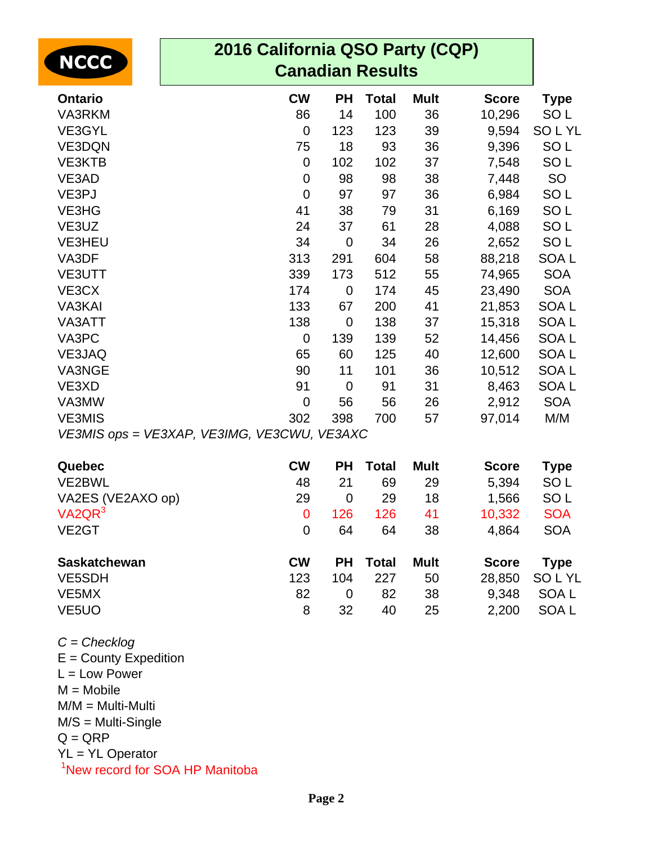| <b>NCCC</b>         | 2016 California QSO Party (CQP)<br><b>Canadian Results</b> |             |              |             |              |                  |  |  |
|---------------------|------------------------------------------------------------|-------------|--------------|-------------|--------------|------------------|--|--|
| <b>Ontario</b>      | <b>CW</b>                                                  | <b>PH</b>   | <b>Total</b> | <b>Mult</b> | <b>Score</b> | <b>Type</b>      |  |  |
| VA3RKM              | 86                                                         | 14          | 100          | 36          | 10,296       | SO <sub>L</sub>  |  |  |
| VE3GYL              | $\mathbf 0$                                                | 123         | 123          | 39          | 9,594        | <b>SOLYL</b>     |  |  |
| <b>VE3DQN</b>       | 75                                                         | 18          | 93           | 36          | 9,396        | SO <sub>L</sub>  |  |  |
| <b>VE3KTB</b>       | $\mathbf 0$                                                | 102         | 102          | 37          | 7,548        | SO <sub>L</sub>  |  |  |
| VE3AD               | $\mathbf 0$                                                | 98          | 98           | 38          | 7,448        | SO               |  |  |
| VE3PJ               | $\mathbf 0$                                                | 97          | 97           | 36          | 6,984        | SO <sub>L</sub>  |  |  |
| VE3HG               | 41                                                         | 38          | 79           | 31          | 6,169        | SO <sub>L</sub>  |  |  |
| VE3UZ               | 24                                                         | 37          | 61           | 28          | 4,088        | SO <sub>L</sub>  |  |  |
| <b>VE3HEU</b>       | 34                                                         | $\mathbf 0$ | 34           | 26          | 2,652        | SO <sub>L</sub>  |  |  |
| VA3DF               | 313                                                        | 291         | 604          | 58          | 88,218       | SOA L            |  |  |
| VE3UTT              | 339                                                        | 173         | 512          | 55          | 74,965       | <b>SOA</b>       |  |  |
| VE3CX               | 174                                                        | $\mathbf 0$ | 174          | 45          | 23,490       | <b>SOA</b>       |  |  |
| VA3KAI              | 133                                                        | 67          | 200          | 41          | 21,853       | SOA <sub>L</sub> |  |  |
| VA3ATT              | 138                                                        | $\mathbf 0$ | 138          | 37          | 15,318       | SOA <sub>L</sub> |  |  |
| VA3PC               | $\mathbf 0$                                                | 139         | 139          | 52          | 14,456       | SOA <sub>L</sub> |  |  |
| VE3JAQ              | 65                                                         | 60          | 125          | 40          | 12,600       | SOA <sub>L</sub> |  |  |
| VA3NGE              | 90                                                         | 11          | 101          | 36          | 10,512       | SOA <sub>L</sub> |  |  |
| VE3XD               | 91                                                         | $\mathbf 0$ | 91           | 31          | 8,463        | SOA L            |  |  |
| VA3MW               | $\mathbf 0$                                                | 56          | 56           | 26          | 2,912        | <b>SOA</b>       |  |  |
| <b>VE3MIS</b>       | 302                                                        | 398         | 700          | 57          | 97,014       | M/M              |  |  |
|                     | VE3MIS ops = VE3XAP, VE3IMG, VE3CWU, VE3AXC                |             |              |             |              |                  |  |  |
| Quebec              | <b>CW</b>                                                  | <b>PH</b>   | <b>Total</b> | <b>Mult</b> | <b>Score</b> | <b>Type</b>      |  |  |
| VE2BWL              | 48                                                         | 21          | 69           | 29          | 5,394        | SO <sub>L</sub>  |  |  |
| VA2ES (VE2AXO op)   | 29                                                         | $\pmb{0}$   | 29           | 18          | 1,566        | SO <sub>L</sub>  |  |  |
| VA2QR <sup>3</sup>  | $\mathbf 0$                                                | 126         | 126          | 41          | 10,332       | <b>SOA</b>       |  |  |
| VE <sub>2</sub> GT  | $\mathbf 0$                                                | 64          | 64           | 38          | 4,864        | <b>SOA</b>       |  |  |
| <b>Saskatchewan</b> | <b>CW</b>                                                  | <b>PH</b>   | <b>Total</b> | <b>Mult</b> | <b>Score</b> | <b>Type</b>      |  |  |
| VE5SDH              | 123                                                        | 104         | 227          | 50          | 28,850       | <b>SOLYL</b>     |  |  |
| VE <sub>5</sub> MX  | 82                                                         | $\mathbf 0$ | 82           | 38          | 9,348        | SOA L            |  |  |
| VE <sub>5</sub> UO  | 8                                                          | 32          | 40           | 25          | 2,200        | SOA L            |  |  |

 $C = Checklog$ E = County Expedition L = Low Power  $M = Mobile$ 

M/M = Multi-Multi M/S = Multi-Single  $Q = QRP$ YL = YL Operator

<sup>1</sup>New record for SOA HP Manitoba